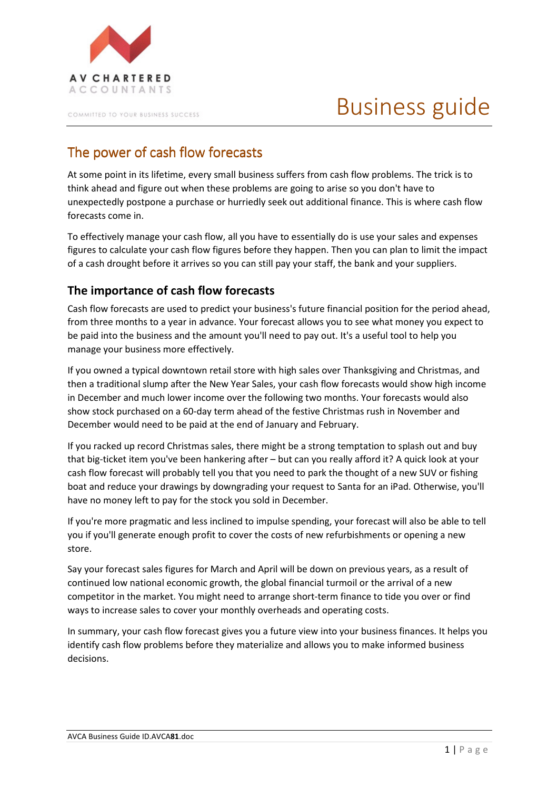

COMMITTED TO YOUR BUSINESS SUCCESS

# Business guide

## The power of cash flow forecasts

At some point in its lifetime, every small business suffers from cash flow problems. The trick is to think ahead and figure out when these problems are going to arise so you don't have to unexpectedly postpone a purchase or hurriedly seek out additional finance. This is where cash flow forecasts come in.

To effectively manage your cash flow, all you have to essentially do is use your sales and expenses figures to calculate your cash flow figures before they happen. Then you can plan to limit the impact of a cash drought before it arrives so you can still pay your staff, the bank and your suppliers.

### The importance of cash flow forecasts

Cash flow forecasts are used to predict your business's future financial position for the period ahead, from three months to a year in advance. Your forecast allows you to see what money you expect to be paid into the business and the amount you'll need to pay out. It's a useful tool to help you manage your business more effectively.

If you owned a typical downtown retail store with high sales over Thanksgiving and Christmas, and then a traditional slump after the New Year Sales, your cash flow forecasts would show high income in December and much lower income over the following two months. Your forecasts would also show stock purchased on a 60-day term ahead of the festive Christmas rush in November and December would need to be paid at the end of January and February.

If you racked up record Christmas sales, there might be a strong temptation to splash out and buy that big-ticket item you've been hankering after – but can you really afford it? A quick look at your cash flow forecast will probably tell you that you need to park the thought of a new SUV or fishing boat and reduce your drawings by downgrading your request to Santa for an iPad. Otherwise, you'll have no money left to pay for the stock you sold in December.

If you're more pragmatic and less inclined to impulse spending, your forecast will also be able to tell you if you'll generate enough profit to cover the costs of new refurbishments or opening a new store.

Say your forecast sales figures for March and April will be down on previous years, as a result of continued low national economic growth, the global financial turmoil or the arrival of a new competitor in the market. You might need to arrange short-term finance to tide you over or find ways to increase sales to cover your monthly overheads and operating costs.

In summary, your cash flow forecast gives you a future view into your business finances. It helps you identify cash flow problems before they materialize and allows you to make informed business decisions.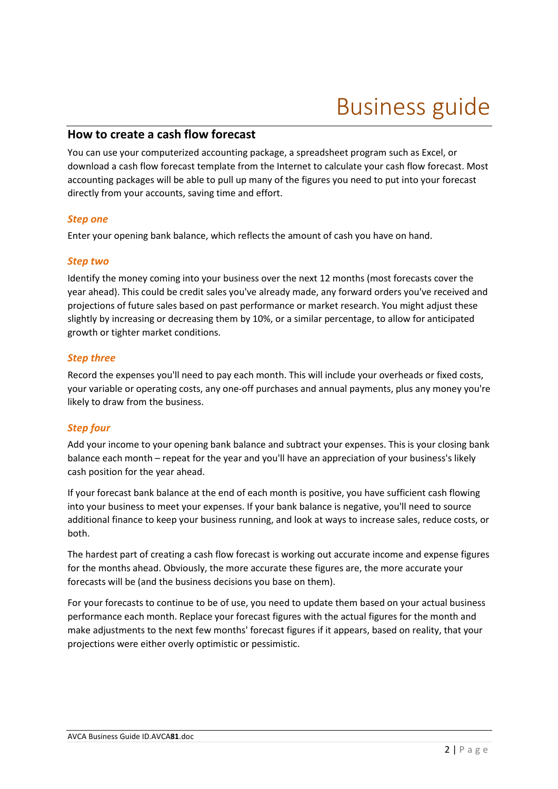## Business guide

### How to create a cash flow forecast

You can use your computerized accounting package, a spreadsheet program such as Excel, or download a cash flow forecast template from the Internet to calculate your cash flow forecast. Most accounting packages will be able to pull up many of the figures you need to put into your forecast directly from your accounts, saving time and effort.

#### Step one

Enter your opening bank balance, which reflects the amount of cash you have on hand.

#### Step two

Identify the money coming into your business over the next 12 months (most forecasts cover the year ahead). This could be credit sales you've already made, any forward orders you've received and projections of future sales based on past performance or market research. You might adjust these slightly by increasing or decreasing them by 10%, or a similar percentage, to allow for anticipated growth or tighter market conditions.

#### Step three

Record the expenses you'll need to pay each month. This will include your overheads or fixed costs, your variable or operating costs, any one-off purchases and annual payments, plus any money you're likely to draw from the business.

#### Step four

Add your income to your opening bank balance and subtract your expenses. This is your closing bank balance each month – repeat for the year and you'll have an appreciation of your business's likely cash position for the year ahead.

If your forecast bank balance at the end of each month is positive, you have sufficient cash flowing into your business to meet your expenses. If your bank balance is negative, you'll need to source additional finance to keep your business running, and look at ways to increase sales, reduce costs, or both.

The hardest part of creating a cash flow forecast is working out accurate income and expense figures for the months ahead. Obviously, the more accurate these figures are, the more accurate your forecasts will be (and the business decisions you base on them).

For your forecasts to continue to be of use, you need to update them based on your actual business performance each month. Replace your forecast figures with the actual figures for the month and make adjustments to the next few months' forecast figures if it appears, based on reality, that your projections were either overly optimistic or pessimistic.